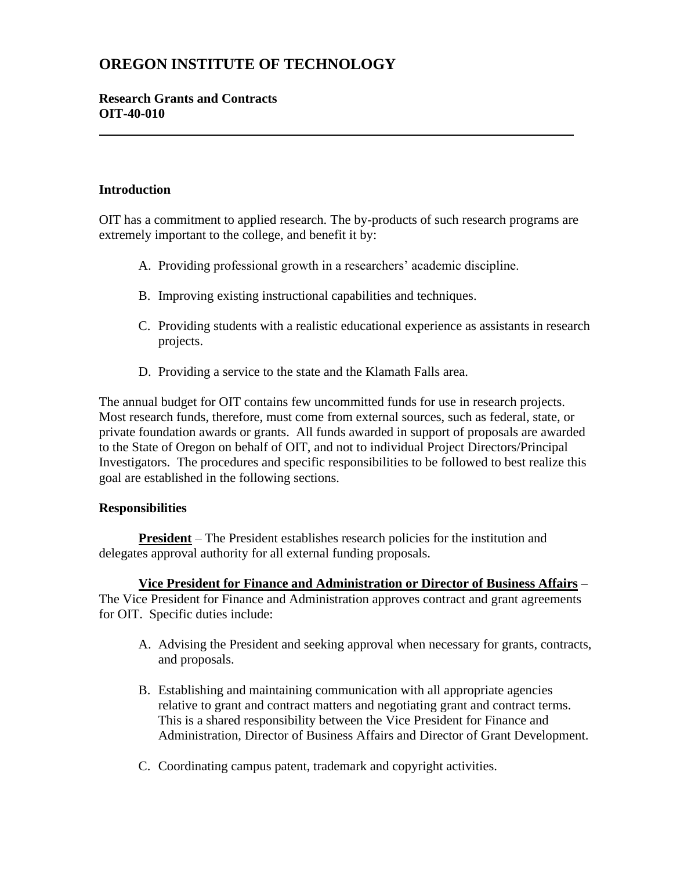# **OREGON INSTITUTE OF TECHNOLOGY**

# **Research Grants and Contracts OIT-40-010**

### **Introduction**

OIT has a commitment to applied research. The by-products of such research programs are extremely important to the college, and benefit it by:

- A. Providing professional growth in a researchers' academic discipline.
- B. Improving existing instructional capabilities and techniques.
- C. Providing students with a realistic educational experience as assistants in research projects.
- D. Providing a service to the state and the Klamath Falls area.

The annual budget for OIT contains few uncommitted funds for use in research projects. Most research funds, therefore, must come from external sources, such as federal, state, or private foundation awards or grants. All funds awarded in support of proposals are awarded to the State of Oregon on behalf of OIT, and not to individual Project Directors/Principal Investigators. The procedures and specific responsibilities to be followed to best realize this goal are established in the following sections.

#### **Responsibilities**

**President** – The President establishes research policies for the institution and delegates approval authority for all external funding proposals.

**Vice President for Finance and Administration or Director of Business Affairs** – The Vice President for Finance and Administration approves contract and grant agreements for OIT. Specific duties include:

- A. Advising the President and seeking approval when necessary for grants, contracts, and proposals.
- B. Establishing and maintaining communication with all appropriate agencies relative to grant and contract matters and negotiating grant and contract terms. This is a shared responsibility between the Vice President for Finance and Administration, Director of Business Affairs and Director of Grant Development.
- C. Coordinating campus patent, trademark and copyright activities.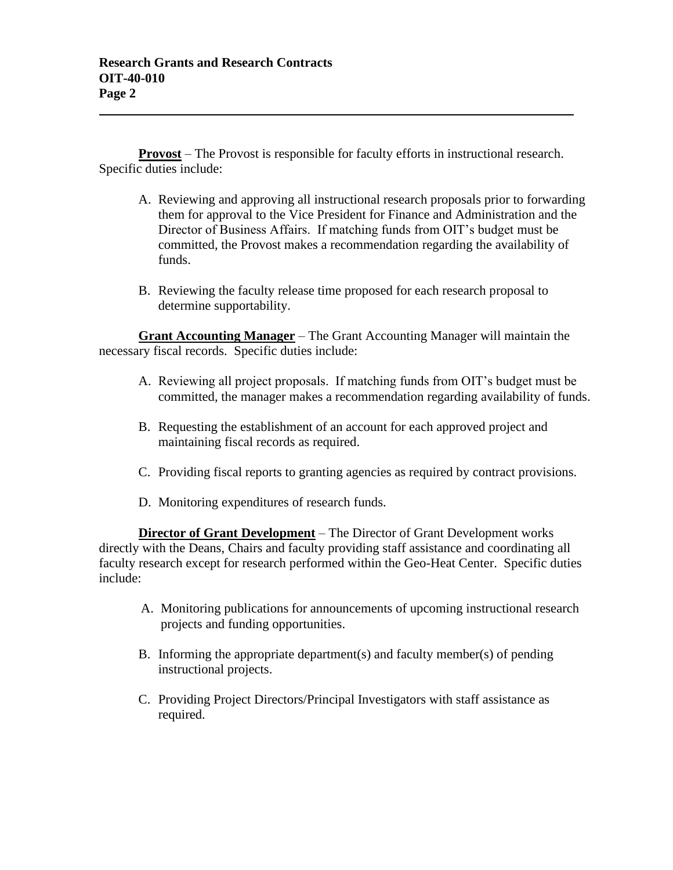**Provost** – The Provost is responsible for faculty efforts in instructional research. Specific duties include:

- A. Reviewing and approving all instructional research proposals prior to forwarding them for approval to the Vice President for Finance and Administration and the Director of Business Affairs. If matching funds from OIT's budget must be committed, the Provost makes a recommendation regarding the availability of funds.
- B. Reviewing the faculty release time proposed for each research proposal to determine supportability.

**Grant Accounting Manager** – The Grant Accounting Manager will maintain the necessary fiscal records. Specific duties include:

- A. Reviewing all project proposals. If matching funds from OIT's budget must be committed, the manager makes a recommendation regarding availability of funds.
- B. Requesting the establishment of an account for each approved project and maintaining fiscal records as required.
- C. Providing fiscal reports to granting agencies as required by contract provisions.
- D. Monitoring expenditures of research funds.

**Director of Grant Development** – The Director of Grant Development works directly with the Deans, Chairs and faculty providing staff assistance and coordinating all faculty research except for research performed within the Geo-Heat Center. Specific duties include:

- A. Monitoring publications for announcements of upcoming instructional research projects and funding opportunities.
- B. Informing the appropriate department(s) and faculty member(s) of pending instructional projects.
- C. Providing Project Directors/Principal Investigators with staff assistance as required.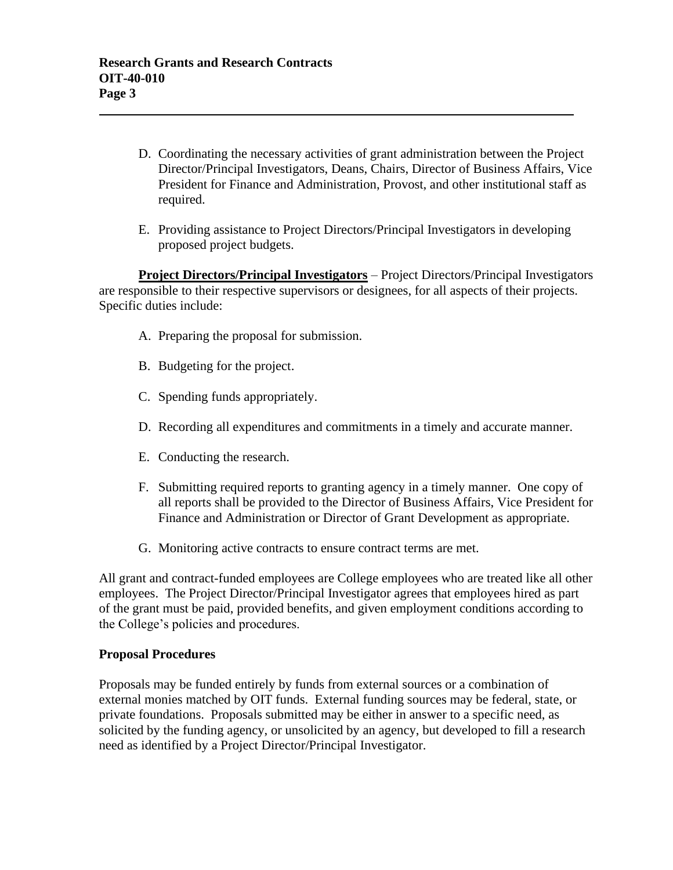- D. Coordinating the necessary activities of grant administration between the Project Director/Principal Investigators, Deans, Chairs, Director of Business Affairs, Vice President for Finance and Administration, Provost, and other institutional staff as required.
- E. Providing assistance to Project Directors/Principal Investigators in developing proposed project budgets.

**Project Directors/Principal Investigators** – Project Directors/Principal Investigators are responsible to their respective supervisors or designees, for all aspects of their projects. Specific duties include:

- A. Preparing the proposal for submission.
- B. Budgeting for the project.
- C. Spending funds appropriately.
- D. Recording all expenditures and commitments in a timely and accurate manner.
- E. Conducting the research.
- F. Submitting required reports to granting agency in a timely manner. One copy of all reports shall be provided to the Director of Business Affairs, Vice President for Finance and Administration or Director of Grant Development as appropriate.
- G. Monitoring active contracts to ensure contract terms are met.

All grant and contract-funded employees are College employees who are treated like all other employees. The Project Director/Principal Investigator agrees that employees hired as part of the grant must be paid, provided benefits, and given employment conditions according to the College's policies and procedures.

#### **Proposal Procedures**

Proposals may be funded entirely by funds from external sources or a combination of external monies matched by OIT funds. External funding sources may be federal, state, or private foundations. Proposals submitted may be either in answer to a specific need, as solicited by the funding agency, or unsolicited by an agency, but developed to fill a research need as identified by a Project Director/Principal Investigator.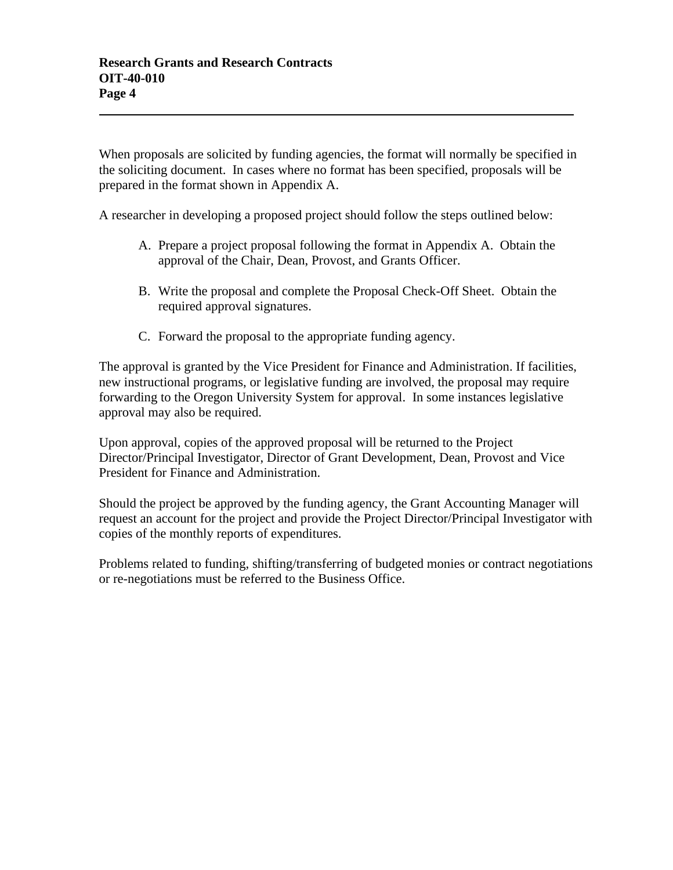When proposals are solicited by funding agencies, the format will normally be specified in the soliciting document. In cases where no format has been specified, proposals will be prepared in the format shown in Appendix A.

A researcher in developing a proposed project should follow the steps outlined below:

- A. Prepare a project proposal following the format in Appendix A. Obtain the approval of the Chair, Dean, Provost, and Grants Officer.
- B. Write the proposal and complete the Proposal Check-Off Sheet. Obtain the required approval signatures.
- C. Forward the proposal to the appropriate funding agency.

The approval is granted by the Vice President for Finance and Administration. If facilities, new instructional programs, or legislative funding are involved, the proposal may require forwarding to the Oregon University System for approval. In some instances legislative approval may also be required.

Upon approval, copies of the approved proposal will be returned to the Project Director/Principal Investigator, Director of Grant Development, Dean, Provost and Vice President for Finance and Administration.

Should the project be approved by the funding agency, the Grant Accounting Manager will request an account for the project and provide the Project Director/Principal Investigator with copies of the monthly reports of expenditures.

Problems related to funding, shifting/transferring of budgeted monies or contract negotiations or re-negotiations must be referred to the Business Office.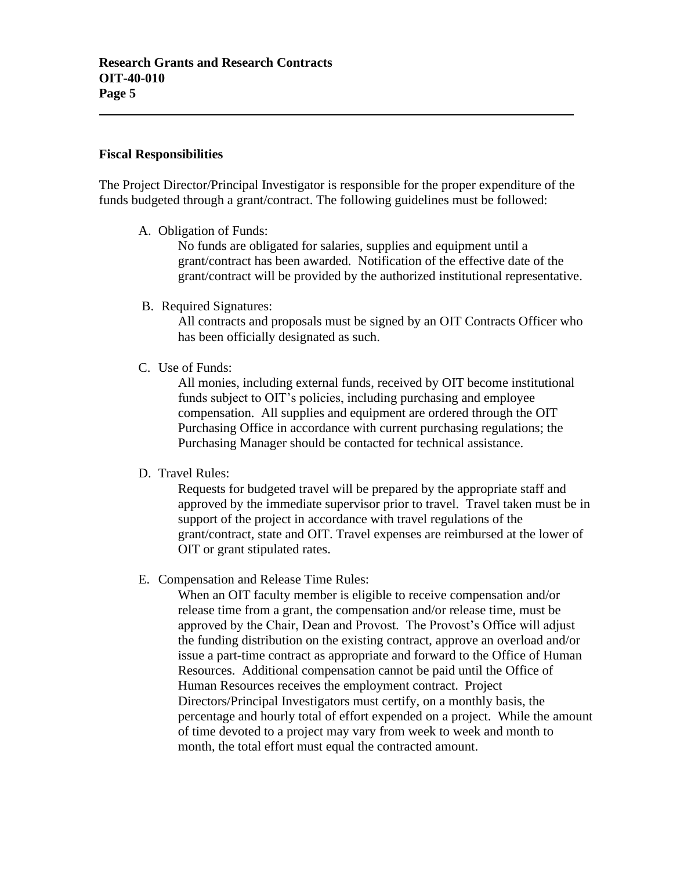#### **Fiscal Responsibilities**

The Project Director/Principal Investigator is responsible for the proper expenditure of the funds budgeted through a grant/contract. The following guidelines must be followed:

A. Obligation of Funds:

No funds are obligated for salaries, supplies and equipment until a grant/contract has been awarded. Notification of the effective date of the grant/contract will be provided by the authorized institutional representative.

B. Required Signatures:

All contracts and proposals must be signed by an OIT Contracts Officer who has been officially designated as such.

C. Use of Funds:

All monies, including external funds, received by OIT become institutional funds subject to OIT's policies, including purchasing and employee compensation. All supplies and equipment are ordered through the OIT Purchasing Office in accordance with current purchasing regulations; the Purchasing Manager should be contacted for technical assistance.

D. Travel Rules:

Requests for budgeted travel will be prepared by the appropriate staff and approved by the immediate supervisor prior to travel. Travel taken must be in support of the project in accordance with travel regulations of the grant/contract, state and OIT. Travel expenses are reimbursed at the lower of OIT or grant stipulated rates.

E. Compensation and Release Time Rules:

When an OIT faculty member is eligible to receive compensation and/or release time from a grant, the compensation and/or release time, must be approved by the Chair, Dean and Provost. The Provost's Office will adjust the funding distribution on the existing contract, approve an overload and/or issue a part-time contract as appropriate and forward to the Office of Human Resources. Additional compensation cannot be paid until the Office of Human Resources receives the employment contract. Project Directors/Principal Investigators must certify, on a monthly basis, the percentage and hourly total of effort expended on a project. While the amount of time devoted to a project may vary from week to week and month to month, the total effort must equal the contracted amount.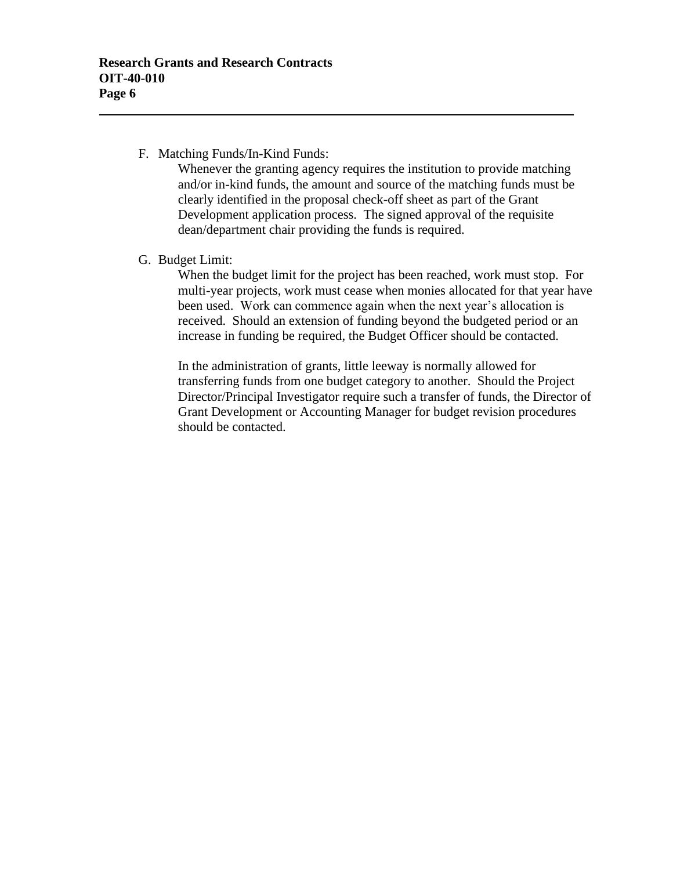### F. Matching Funds/In-Kind Funds:

Whenever the granting agency requires the institution to provide matching and/or in-kind funds, the amount and source of the matching funds must be clearly identified in the proposal check-off sheet as part of the Grant Development application process. The signed approval of the requisite dean/department chair providing the funds is required.

# G. Budget Limit:

When the budget limit for the project has been reached, work must stop. For multi-year projects, work must cease when monies allocated for that year have been used. Work can commence again when the next year's allocation is received. Should an extension of funding beyond the budgeted period or an increase in funding be required, the Budget Officer should be contacted.

In the administration of grants, little leeway is normally allowed for transferring funds from one budget category to another. Should the Project Director/Principal Investigator require such a transfer of funds, the Director of Grant Development or Accounting Manager for budget revision procedures should be contacted.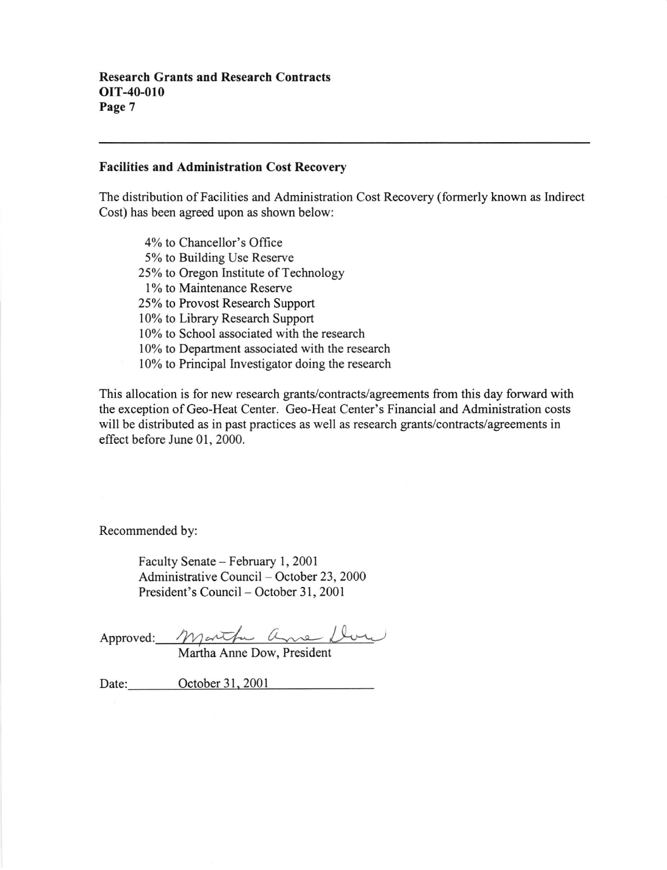#### Facilities and Administration Cost Recoverv

The distribution ofFacilities and Administration Cost Recovery (formerly known as Indirect Cost) has been agreed upon as shown below:

4% to Chancellor's Oflice 5% to Building Use Reserve 25% to Oregon Institute of Technology l% to Maintenance Reserve 25% to Provost Research Support l0% to Library Research Support 10% to School associated with the research 10% to Department associated with the research l0% to Principal lnvestigator doing the research

This allocation is for new research grants/contracts/agreements from this day forward with the exception of Geo-Heat Center. Geo-Heat Center's Financial and Administration costs will be distributed as in past practices as well as research grants/contracts/agreements in effect before June 01, 2000.

Recommended by:

Faculty Senate - February 1, 2001 Administrative Council - October 23, 2000 President's Council - October 31, 2001

Approved:

Martha Anne Dow, President

Date: October 31, 2001